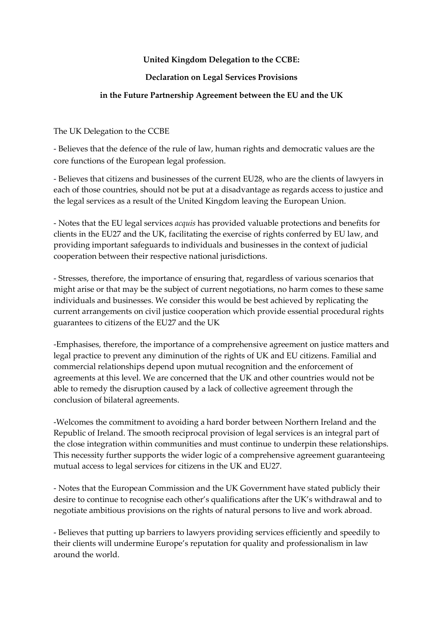## **United Kingdom Delegation to the CCBE:**

## **Declaration on Legal Services Provisions**

## **in the Future Partnership Agreement between the EU and the UK**

The UK Delegation to the CCBE

- Believes that the defence of the rule of law, human rights and democratic values are the core functions of the European legal profession.

- Believes that citizens and businesses of the current EU28, who are the clients of lawyers in each of those countries, should not be put at a disadvantage as regards access to justice and the legal services as a result of the United Kingdom leaving the European Union.

- Notes that the EU legal services *acquis* has provided valuable protections and benefits for clients in the EU27 and the UK, facilitating the exercise of rights conferred by EU law, and providing important safeguards to individuals and businesses in the context of judicial cooperation between their respective national jurisdictions.

- Stresses, therefore, the importance of ensuring that, regardless of various scenarios that might arise or that may be the subject of current negotiations, no harm comes to these same individuals and businesses. We consider this would be best achieved by replicating the current arrangements on civil justice cooperation which provide essential procedural rights guarantees to citizens of the EU27 and the UK

-Emphasises, therefore, the importance of a comprehensive agreement on justice matters and legal practice to prevent any diminution of the rights of UK and EU citizens. Familial and commercial relationships depend upon mutual recognition and the enforcement of agreements at this level. We are concerned that the UK and other countries would not be able to remedy the disruption caused by a lack of collective agreement through the conclusion of bilateral agreements.

-Welcomes the commitment to avoiding a hard border between Northern Ireland and the Republic of Ireland. The smooth reciprocal provision of legal services is an integral part of the close integration within communities and must continue to underpin these relationships. This necessity further supports the wider logic of a comprehensive agreement guaranteeing mutual access to legal services for citizens in the UK and EU27.

- Notes that the European Commission and the UK Government have stated publicly their desire to continue to recognise each other's qualifications after the UK's withdrawal and to negotiate ambitious provisions on the rights of natural persons to live and work abroad.

- Believes that putting up barriers to lawyers providing services efficiently and speedily to their clients will undermine Europe's reputation for quality and professionalism in law around the world.